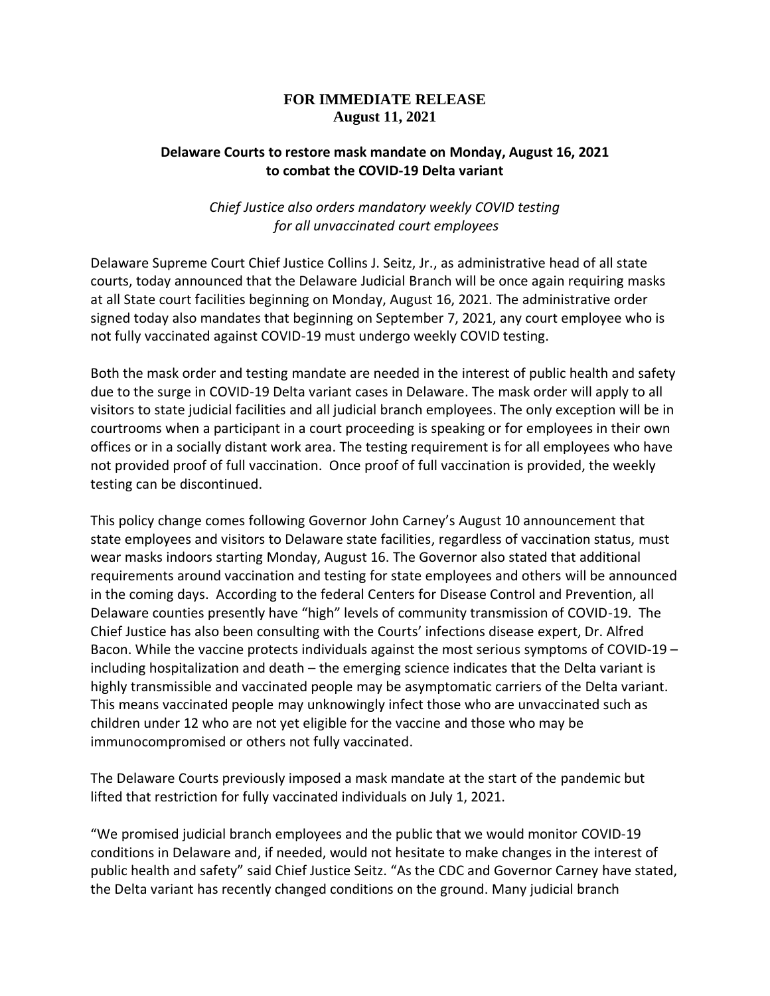## **FOR IMMEDIATE RELEASE August 11, 2021**

## **Delaware Courts to restore mask mandate on Monday, August 16, 2021 to combat the COVID-19 Delta variant**

## *Chief Justice also orders mandatory weekly COVID testing for all unvaccinated court employees*

Delaware Supreme Court Chief Justice Collins J. Seitz, Jr., as administrative head of all state courts, today announced that the Delaware Judicial Branch will be once again requiring masks at all State court facilities beginning on Monday, August 16, 2021. The administrative order signed today also mandates that beginning on September 7, 2021, any court employee who is not fully vaccinated against COVID-19 must undergo weekly COVID testing.

Both the mask order and testing mandate are needed in the interest of public health and safety due to the surge in COVID-19 Delta variant cases in Delaware. The mask order will apply to all visitors to state judicial facilities and all judicial branch employees. The only exception will be in courtrooms when a participant in a court proceeding is speaking or for employees in their own offices or in a socially distant work area. The testing requirement is for all employees who have not provided proof of full vaccination. Once proof of full vaccination is provided, the weekly testing can be discontinued.

This policy change comes following Governor John Carney's August 10 announcement that state employees and visitors to Delaware state facilities, regardless of vaccination status, must wear masks indoors starting Monday, August 16. The Governor also stated that additional requirements around vaccination and testing for state employees and others will be announced in the coming days. According to the federal Centers for Disease Control and Prevention, all Delaware counties presently have "high" levels of community transmission of COVID-19. The Chief Justice has also been consulting with the Courts' infections disease expert, Dr. Alfred Bacon. While the vaccine protects individuals against the most serious symptoms of COVID-19 – including hospitalization and death – the emerging science indicates that the Delta variant is highly transmissible and vaccinated people may be asymptomatic carriers of the Delta variant. This means vaccinated people may unknowingly infect those who are unvaccinated such as children under 12 who are not yet eligible for the vaccine and those who may be immunocompromised or others not fully vaccinated.

The Delaware Courts previously imposed a mask mandate at the start of the pandemic but lifted that restriction for fully vaccinated individuals on July 1, 2021.

"We promised judicial branch employees and the public that we would monitor COVID-19 conditions in Delaware and, if needed, would not hesitate to make changes in the interest of public health and safety" said Chief Justice Seitz. "As the CDC and Governor Carney have stated, the Delta variant has recently changed conditions on the ground. Many judicial branch